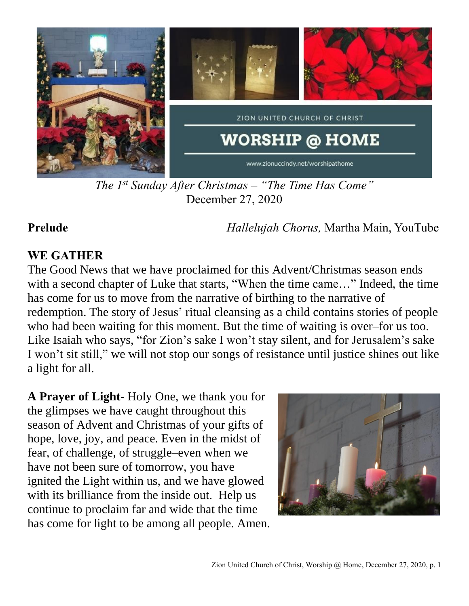

*The 1 st Sunday After Christmas – "The Time Has Come"* December 27, 2020

**Prelude** *Hallelujah Chorus,* Martha Main, YouTube

### **WE GATHER**

The Good News that we have proclaimed for this Advent/Christmas season ends with a second chapter of Luke that starts, "When the time came…" Indeed, the time has come for us to move from the narrative of birthing to the narrative of redemption. The story of Jesus' ritual cleansing as a child contains stories of people who had been waiting for this moment. But the time of waiting is over–for us too. Like Isaiah who says, "for Zion's sake I won't stay silent, and for Jerusalem's sake I won't sit still," we will not stop our songs of resistance until justice shines out like a light for all.

**A Prayer of Light**- Holy One, we thank you for the glimpses we have caught throughout this season of Advent and Christmas of your gifts of hope, love, joy, and peace. Even in the midst of fear, of challenge, of struggle–even when we have not been sure of tomorrow, you have ignited the Light within us, and we have glowed with its brilliance from the inside out. Help us continue to proclaim far and wide that the time has come for light to be among all people. Amen.

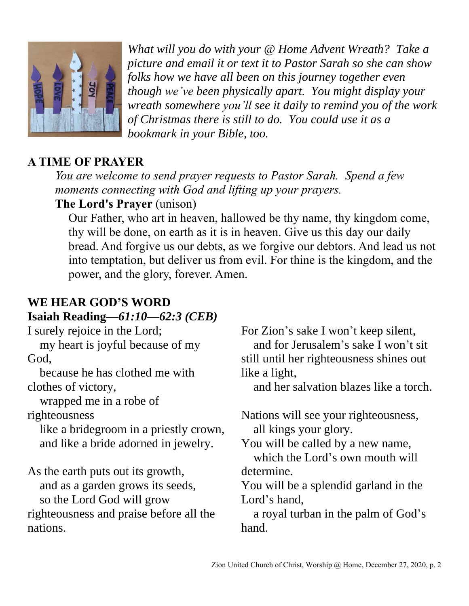

*What will you do with your @ Home Advent Wreath? Take a picture and email it or text it to Pastor Sarah so she can show folks how we have all been on this journey together even though we've been physically apart. You might display your wreath somewhere you'll see it daily to remind you of the work of Christmas there is still to do. You could use it as a bookmark in your Bible, too.* 

# **A TIME OF PRAYER**

*You are welcome to send prayer requests to Pastor Sarah. Spend a few moments connecting with God and lifting up your prayers.* **The Lord's Prayer** (unison)

Our Father, who art in heaven, hallowed be thy name, thy kingdom come, thy will be done, on earth as it is in heaven. Give us this day our daily bread. And forgive us our debts, as we forgive our debtors. And lead us not into temptation, but deliver us from evil. For thine is the kingdom, and the power, and the glory, forever. Amen.

### **WE HEAR GOD'S WORD Isaiah Reading—***61:10—62:3 (CEB)*

I surely rejoice in the Lord; my heart is joyful because of my God, because he has clothed me with clothes of victory, wrapped me in a robe of righteousness like a bridegroom in a priestly crown, and like a bride adorned in jewelry. As the earth puts out its growth, and as a garden grows its seeds, so the Lord God will grow righteousness and praise before all the nations. For Zion's sake I won't keep silent, and for Jerusalem's sake I won't sit still until her righteousness shines out like a light, and her salvation blazes like a torch. Nations will see your righteousness, all kings your glory. You will be called by a new name, which the Lord's own mouth will determine. You will be a splendid garland in the Lord's hand, a royal turban in the palm of God's hand.

Zion United Church of Christ, Worship @ Home, December 27, 2020, p. 2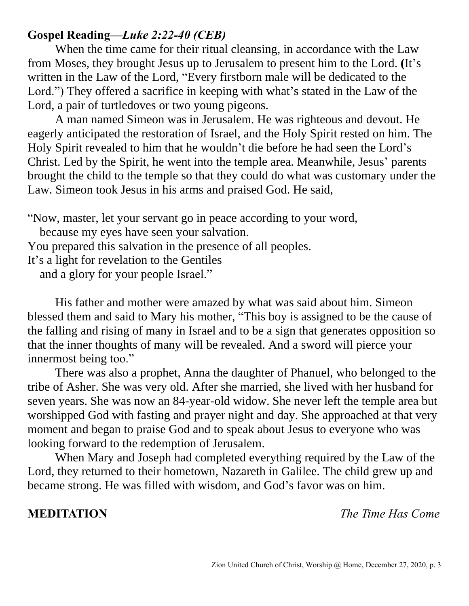### **Gospel Reading—***Luke 2:22-40 (CEB)*

When the time came for their ritual cleansing, in accordance with the Law from Moses, they brought Jesus up to Jerusalem to present him to the Lord. **(**It's written in the Law of the Lord, "Every firstborn male will be dedicated to the Lord.") They offered a sacrifice in keeping with what's stated in the Law of the Lord, a pair of turtledoves or two young pigeons.

A man named Simeon was in Jerusalem. He was righteous and devout. He eagerly anticipated the restoration of Israel, and the Holy Spirit rested on him. The Holy Spirit revealed to him that he wouldn't die before he had seen the Lord's Christ. Led by the Spirit, he went into the temple area. Meanwhile, Jesus' parents brought the child to the temple so that they could do what was customary under the Law. Simeon took Jesus in his arms and praised God. He said,

"Now, master, let your servant go in peace according to your word,

because my eyes have seen your salvation.

You prepared this salvation in the presence of all peoples.

It's a light for revelation to the Gentiles

and a glory for your people Israel."

His father and mother were amazed by what was said about him. Simeon blessed them and said to Mary his mother, "This boy is assigned to be the cause of the falling and rising of many in Israel and to be a sign that generates opposition so that the inner thoughts of many will be revealed. And a sword will pierce your innermost being too."

There was also a prophet, Anna the daughter of Phanuel, who belonged to the tribe of Asher. She was very old. After she married, she lived with her husband for seven years. She was now an 84-year-old widow. She never left the temple area but worshipped God with fasting and prayer night and day. She approached at that very moment and began to praise God and to speak about Jesus to everyone who was looking forward to the redemption of Jerusalem.

When Mary and Joseph had completed everything required by the Law of the Lord, they returned to their hometown, Nazareth in Galilee. The child grew up and became strong. He was filled with wisdom, and God's favor was on him.

**MEDITATION** *The Time Has Come*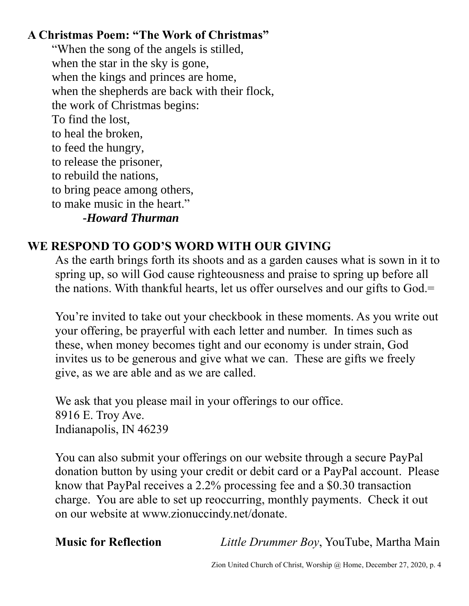# **A Christmas Poem: "The Work of Christmas"**

"When the song of the angels is stilled, when the star in the sky is gone, when the kings and princes are home, when the shepherds are back with their flock, the work of Christmas begins: To find the lost, to heal the broken, to feed the hungry, to release the prisoner, to rebuild the nations, to bring peace among others, to make music in the heart." **-***Howard Thurman*

# **WE RESPOND TO GOD'S WORD WITH OUR GIVING**

As the earth brings forth its shoots and as a garden causes what is sown in it to spring up, so will God cause righteousness and praise to spring up before all the nations. With thankful hearts, let us offer ourselves and our gifts to God.=

You're invited to take out your checkbook in these moments. As you write out your offering, be prayerful with each letter and number. In times such as these, when money becomes tight and our economy is under strain, God invites us to be generous and give what we can. These are gifts we freely give, as we are able and as we are called.

We ask that you please mail in your offerings to our office. 8916 E. Troy Ave. Indianapolis, IN 46239

You can also submit your offerings on our website through a secure PayPal donation button by using your credit or debit card or a PayPal account. Please know that PayPal receives a 2.2% processing fee and a \$0.30 transaction charge. You are able to set up reoccurring, monthly payments. Check it out on our website at www.zionuccindy.net/donate.

**Music for Reflection** *Little Drummer Boy*, YouTube, Martha Main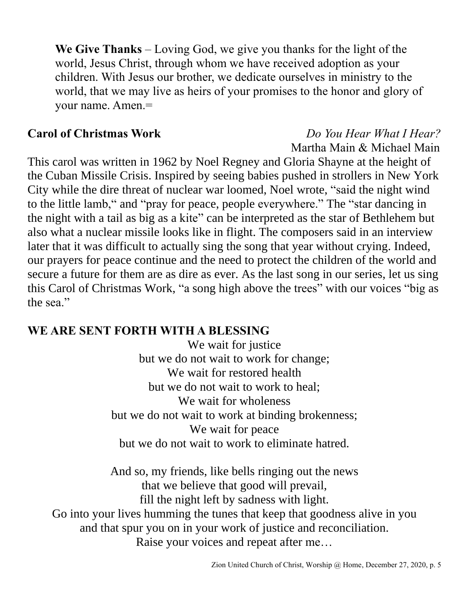**We Give Thanks** – Loving God, we give you thanks for the light of the world, Jesus Christ, through whom we have received adoption as your children. With Jesus our brother, we dedicate ourselves in ministry to the world, that we may live as heirs of your promises to the honor and glory of your name. Amen.=

# **Carol of Christmas Work** *Do You Hear What I Hear?* Martha Main & Michael Main

This carol was written in 1962 by Noel Regney and Gloria Shayne at the height of the Cuban Missile Crisis. Inspired by seeing babies pushed in strollers in New York City while the dire threat of nuclear war loomed, Noel wrote, "said the night wind to the little lamb," and "pray for peace, people everywhere." The "star dancing in the night with a tail as big as a kite" can be interpreted as the star of Bethlehem but also what a nuclear missile looks like in flight. The composers said in an interview later that it was difficult to actually sing the song that year without crying. Indeed, our prayers for peace continue and the need to protect the children of the world and secure a future for them are as dire as ever. As the last song in our series, let us sing this Carol of Christmas Work, "a song high above the trees" with our voices "big as the sea."

### **WE ARE SENT FORTH WITH A BLESSING**

We wait for justice but we do not wait to work for change; We wait for restored health but we do not wait to work to heal; We wait for wholeness but we do not wait to work at binding brokenness; We wait for peace but we do not wait to work to eliminate hatred.

And so, my friends, like bells ringing out the news that we believe that good will prevail, fill the night left by sadness with light. Go into your lives humming the tunes that keep that goodness alive in you and that spur you on in your work of justice and reconciliation. Raise your voices and repeat after me…